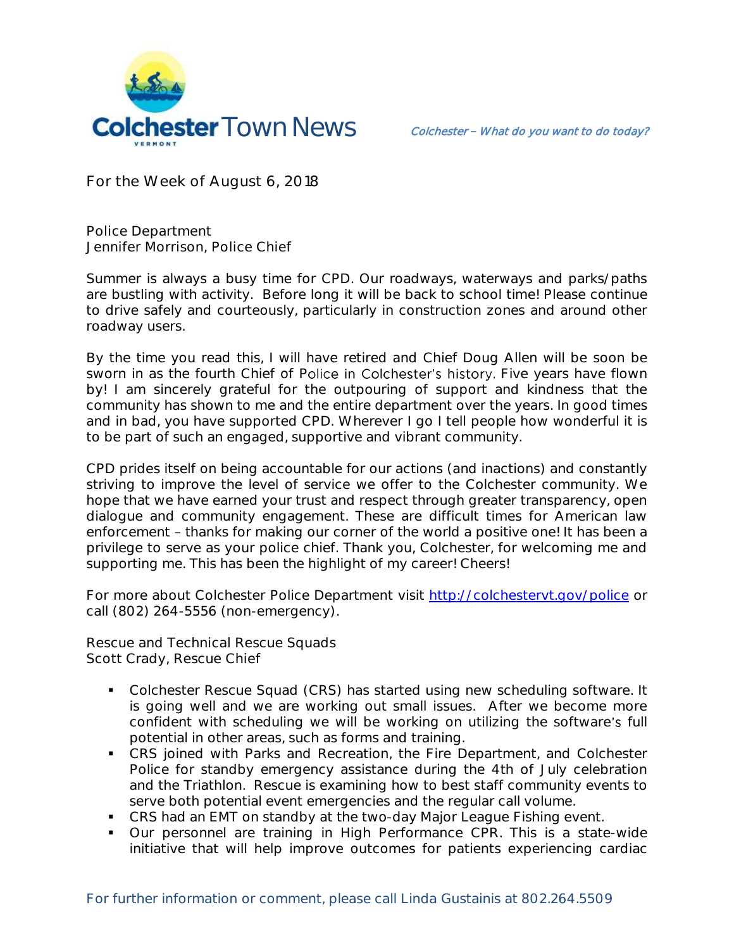

**For the Week of August 6, 2018**

**Police Department Jennifer Morrison, Police Chief** 

Summer is always a busy time for CPD. Our roadways, waterways and parks/paths are bustling with activity. Before long it will be back to school time! Please continue to drive safely and courteously, particularly in construction zones and around other roadway users.

By the time you read this, I will have retired and Chief Doug Allen will be soon be sworn in as the fourth Chief of Police in Colchester's history. Five years have flown by! I am sincerely grateful for the outpouring of support and kindness that the community has shown to me and the entire department over the years. In good times and in bad, you have supported CPD. Wherever I go I tell people how wonderful it is to be part of such an engaged, supportive and vibrant community.

CPD prides itself on being accountable for our actions (and inactions) and constantly striving to improve the level of service we offer to the Colchester community. We hope that we have earned your trust and respect through greater transparency, open dialogue and community engagement. These are difficult times for American law enforcement - thanks for making our corner of the world a positive one! It has been a privilege to serve as your police chief. Thank you, Colchester, for welcoming me and supporting me. This has been the highlight of my career! Cheers!

For more about Colchester Police Department visit<http://colchestervt.gov/police> or call (802) 264-5556 (non-emergency).

**Rescue and Technical Rescue Squads Scott Crady, Rescue Chief**

- Colchester Rescue Squad (CRS) has started using new scheduling software. It is going well and we are working out small issues. After we become more confident with scheduling we will be working on utilizing the software's full potential in other areas, such as forms and training.
- CRS joined with Parks and Recreation, the Fire Department, and Colchester Police for standby emergency assistance during the 4th of July celebration and the Triathlon. Rescue is examining how to best staff community events to serve both potential event emergencies and the regular call volume.
- **CRS had an EMT on standby at the two-day Major League Fishing event.**
- Our personnel are training in High Performance CPR. This is a state-wide initiative that will help improve outcomes for patients experiencing cardiac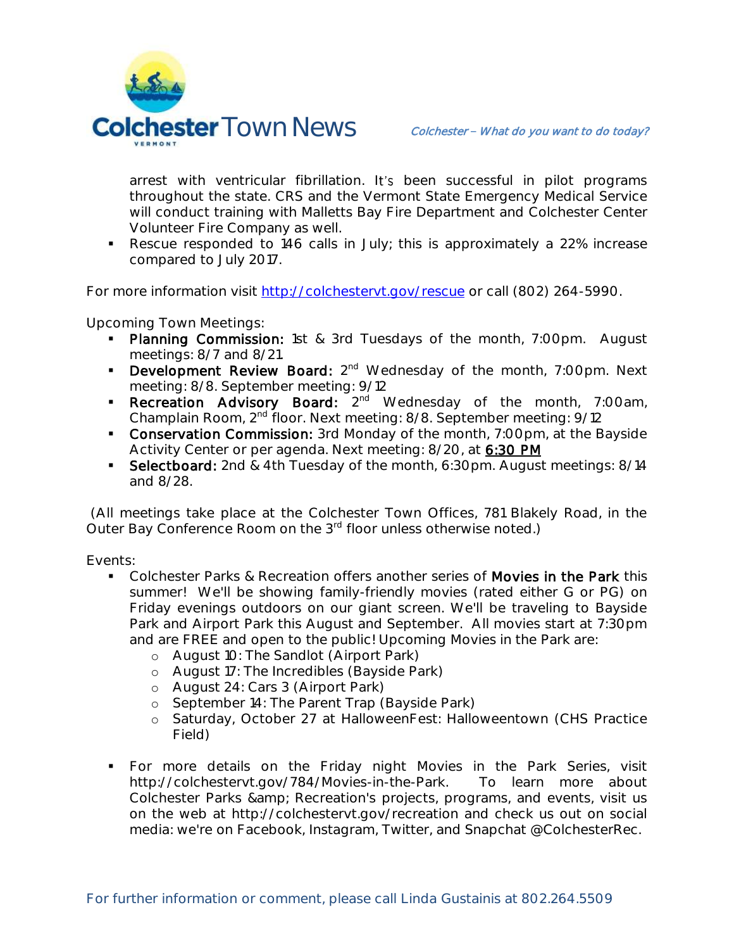

arrest with ventricular fibrillation. It's been successful in pilot programs throughout the state. CRS and the Vermont State Emergency Medical Service will conduct training with Malletts Bay Fire Department and Colchester Center Volunteer Fire Company as well.

Rescue responded to 146 calls in July; this is approximately a 22% increase compared to July 2017.

For more information visit [http://colchestervt.gov/rescue](http://colchestervt.gov/rescue/index.shtml) or call (802) 264-5990.

**Upcoming Town Meetings:** 

- Planning Commission: 1st & 3rd Tuesdays of the month, 7:00pm. August meetings: 8/7 and 8/21.
- **Development Review Board:**  $2^{nd}$  Wednesday of the month, 7:00pm. Next meeting: 8/8. September meeting: 9/12
- **Recreation Advisory Board:** 2<sup>nd</sup> Wednesday of the month, 7:00am, Champlain Room, 2nd floor. Next meeting: 8/8. September meeting: 9/12
- **Conservation Commission:** 3rd Monday of the month, 7:00pm, at the Bayside Activity Center or per agenda. Next meeting: 8/20, at 6:30 PM
- Selectboard: 2nd & 4th Tuesday of the month, 6:30pm. August meetings: 8/14 and 8/28.

(All meetings take place at the Colchester Town Offices, 781 Blakely Road, in the Outer Bay Conference Room on the 3<sup>rd</sup> floor unless otherwise noted.)

**Events:**

- Colchester Parks & Recreation offers another series of Movies in the Park this summer! We'll be showing family-friendly movies (rated either G or PG) on Friday evenings outdoors on our giant screen. We'll be traveling to Bayside Park and Airport Park this August and September. All movies start at 7:30pm and are FREE and open to the public! Upcoming Movies in the Park are:
	- o August 10: The Sandlot (Airport Park)
	- o August 17: The Incredibles (Bayside Park)
	- o August 24: Cars 3 (Airport Park)
	- o September 14: The Parent Trap (Bayside Park)
	- o Saturday, October 27 at HalloweenFest: Halloweentown (CHS Practice Field)
- For more details on the Friday night Movies in the Park Series, visit http://colchestervt.gov/784/Movies-in-the-Park. To learn more about Colchester Parks & amp; Recreation's projects, programs, and events, visit us on the web at http://colchestervt.gov/recreation and check us out on social media: we're on Facebook, Instagram, Twitter, and Snapchat @ColchesterRec.